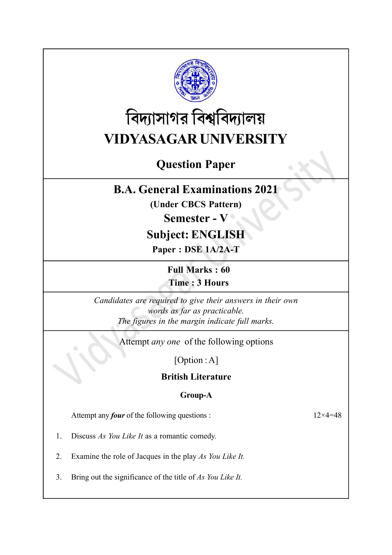

# বিদ্যাসাগর বিশ্ববিদ্যালয় VIDYASAGAR UNIVERSITY

# Question Paper

## B.A. General Examinations 2021

(Under CBCS Pattern)

### Semester - V ·

# Subject: ENGLISH

Paper : DSE 1A/2A-T

Full Marks : 60 Time : 3 Hours

Candidates are required to give their answers in their own words as far as practicable. The figures in the margin indicate full marks.

Attempt any one of the following options

[Option : A]

British Literature

#### Group-A

Attempt any *four* of the following questions :  $12 \times 4 = 48$ 

- 1. Discuss As You Like It as a romantic comedy.
- 2. Examine the role of Jacques in the play As You Like It.
- 3. Bring out the significance of the title of As You Like It.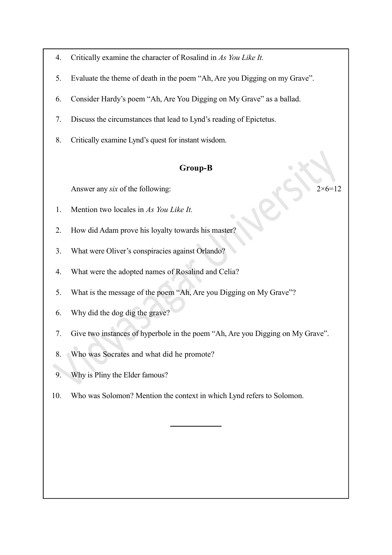- 4. Critically examine the character of Rosalind in As You Like It.
- 5. Evaluate the theme of death in the poem "Ah, Are you Digging on my Grave".
- 6. Consider Hardy's poem "Ah, Are You Digging on My Grave" as a ballad.
- 7. Discuss the circumstances that lead to Lynd's reading of Epictetus.
- 8. Critically examine Lynd's quest for instant wisdom.

#### Group-B

Answer any six of the following:  $2 \times 6 = 12$ 

- 1. Mention two locales in As You Like It.
- 2. How did Adam prove his loyalty towards his master?
- 3. What were Oliver's conspiracies against Orlando?
- 4. What were the adopted names of Rosalind and Celia?
- 5. What is the message of the poem "Ah, Are you Digging on My Grave"?
- 6. Why did the dog dig the grave?
- 7. Give two instances of hyperbole in the poem "Ah, Are you Digging on My Grave".
- 8. Who was Socrates and what did he promote?
- 9. Why is Pliny the Elder famous?
- 10. Who was Solomon? Mention the context in which Lynd refers to Solomon.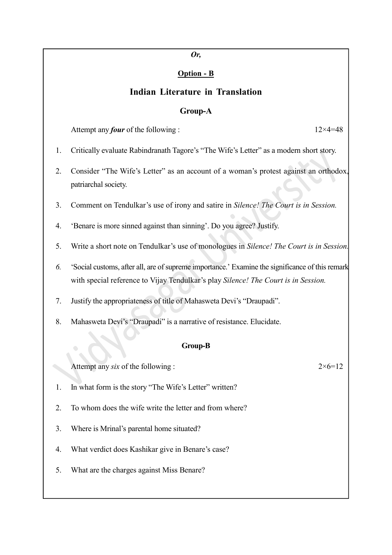#### Or,

#### Option - B

#### Indian Literature in Translation

#### Group-A

Attempt any *four* of the following :  $12 \times 4 = 48$ 

- 1. Critically evaluate Rabindranath Tagore's "The Wife's Letter" as a modern short story.
- 2. Consider "The Wife's Letter" as an account of a woman's protest against an orthodox, patriarchal society.
- 3. Comment on Tendulkar's use of irony and satire in Silence! The Court is in Session.
- 4. 'Benare is more sinned against than sinning'. Do you agree? Justify.
- 5. Write a short note on Tendulkar's use of monologues in Silence! The Court is in Session.
- 6. 'Social customs, after all, are of supreme importance.' Examine the significance of this remark with special reference to Vijay Tendulkar's play Silence! The Court is in Session.
- 7. Justify the appropriateness of title of Mahasweta Devi's "Draupadi".
- 8. Mahasweta Devi's "Draupadi" is a narrative of resistance. Elucidate.

#### Group-B

Attempt any six of the following :  $2 \times 6 = 12$ 

- 1. In what form is the story "The Wife's Letter" written?
- 2. To whom does the wife write the letter and from where?
- 3. Where is Mrinal's parental home situated?
- 4. What verdict does Kashikar give in Benare's case?
- 5. What are the charges against Miss Benare?